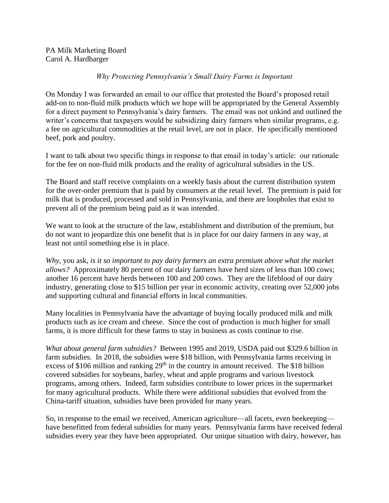PA Milk Marketing Board Carol A. Hardbarger

## *Why Protecting Pennsylvania's Small Dairy Farms is Important*

On Monday I was forwarded an email to our office that protested the Board's proposed retail add-on to non-fluid milk products which we hope will be appropriated by the General Assembly for a direct payment to Pennsylvania's dairy farmers. The email was not unkind and outlined the writer's concerns that taxpayers would be subsidizing dairy farmers when similar programs, e.g. a fee on agricultural commodities at the retail level, are not in place. He specifically mentioned beef, pork and poultry.

I want to talk about two specific things in response to that email in today's article: our rationale for the fee on non-fluid milk products and the reality of agricultural subsidies in the US.

The Board and staff receive complaints on a weekly basis about the current distribution system for the over-order premium that is paid by consumers at the retail level. The premium is paid for milk that is produced, processed and sold in Pennsylvania, and there are loopholes that exist to prevent all of the premium being paid as it was intended.

We want to look at the structure of the law, establishment and distribution of the premium, but do not want to jeopardize this one benefit that is in place for our dairy farmers in any way, at least not until something else is in place.

*Why*, you ask, *is it so important to pay dairy farmers an extra premium above what the market allows?* Approximately 80 percent of our dairy farmers have herd sizes of less than 100 cows; another 16 percent have herds between 100 and 200 cows. They are the lifeblood of our dairy industry, generating close to \$15 billion per year in economic activity, creating over 52,000 jobs and supporting cultural and financial efforts in local communities.

Many localities in Pennsylvania have the advantage of buying locally produced milk and milk products such as ice cream and cheese. Since the cost of production is much higher for small farms, it is more difficult for these farms to stay in business as costs continue to rise.

*What about general farm subsidies?* Between 1995 and 2019, USDA paid out \$329.6 billion in farm subsidies. In 2018, the subsidies were \$18 billion, with Pennsylvania farms receiving in excess of \$106 million and ranking  $29<sup>th</sup>$  in the country in amount received. The \$18 billion covered subsidies for soybeans, barley, wheat and apple programs and various livestock programs, among others. Indeed, farm subsidies contribute to lower prices in the supermarket for many agricultural products. While there were additional subsidies that evolved from the China-tariff situation, subsidies have been provided for many years.

So, in response to the email we received, American agriculture—all facets, even beekeeping have benefitted from federal subsidies for many years. Pennsylvania farms have received federal subsidies every year they have been appropriated. Our unique situation with dairy, however, has